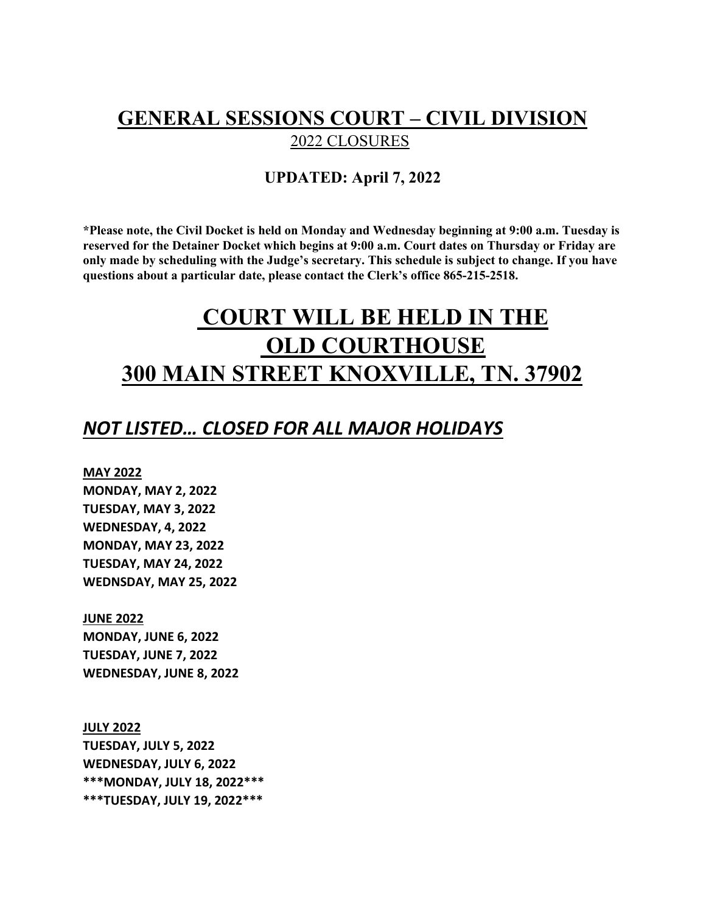## **GENERAL SESSIONS COURT – CIVIL DIVISION** 2022 CLOSURES

### **UPDATED: April 7, 2022**

**\*Please note, the Civil Docket is held on Monday and Wednesday beginning at 9:00 a.m. Tuesday is reserved for the Detainer Docket which begins at 9:00 a.m. Court dates on Thursday or Friday are only made by scheduling with the Judge's secretary. This schedule is subject to change. If you have questions about a particular date, please contact the Clerk's office 865-215-2518.** 

# **COURT WILL BE HELD IN THE OLD COURTHOUSE 300 MAIN STREET KNOXVILLE, TN. 37902**

### *NOT LISTED… CLOSED FOR ALL MAJOR HOLIDAYS*

#### **MAY 2022**

**MONDAY, MAY 2, 2022 TUESDAY, MAY 3, 2022 WEDNESDAY, 4, 2022 MONDAY, MAY 23, 2022 TUESDAY, MAY 24, 2022 WEDNSDAY, MAY 25, 2022**

#### **JUNE 2022**

**MONDAY, JUNE 6, 2022 TUESDAY, JUNE 7, 2022 WEDNESDAY, JUNE 8, 2022**

**JULY 2022 TUESDAY, JULY 5, 2022 WEDNESDAY, JULY 6, 2022 \*\*\*MONDAY, JULY 18, 2022\*\*\* \*\*\*TUESDAY, JULY 19, 2022\*\*\***